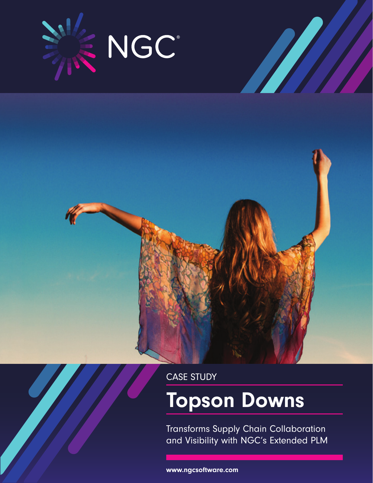



# Topson Downs

Transforms Supply Chain Collaboration and Visibility with NGC's Extended PLM

www.ngcsoftware.com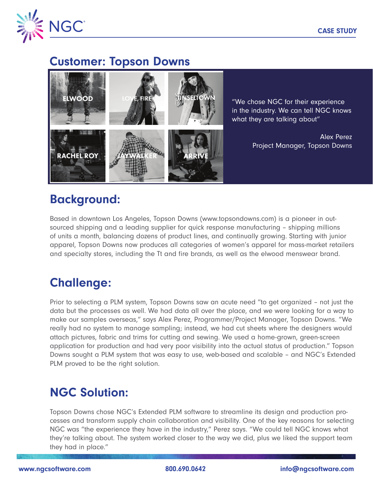

#### Customer: Topson Downs



"We chose NGC for their experience in the industry. We can tell NGC knows what they are talking about"

> Alex Perez Project Manager, Topson Downs

# Background:

Based in downtown Los Angeles, Topson Downs (www.topsondowns.com) is a pioneer in outsourced shipping and a leading supplier for quick response manufacturing – shipping millions of units a month, balancing dozens of product lines, and continually growing. Starting with junior apparel, Topson Downs now produces all categories of women's apparel for mass-market retailers and specialty stores, including the Tt and fire brands, as well as the elwood menswear brand.

# Challenge:

Prior to selecting a PLM system, Topson Downs saw an acute need "to get organized – not just the data but the processes as well. We had data all over the place, and we were looking for a way to make our samples overseas," says Alex Perez, Programmer/Project Manager, Topson Downs. "We really had no system to manage sampling; instead, we had cut sheets where the designers would attach pictures, fabric and trims for cutting and sewing. We used a home-grown, green-screen application for production and had very poor visibility into the actual status of production." Topson Downs sought a PLM system that was easy to use, web-based and scalable – and NGC's Extended PLM proved to be the right solution.

## NGC Solution:

Topson Downs chose NGC's Extended PLM software to streamline its design and production processes and transform supply chain collaboration and visibility. One of the key reasons for selecting NGC was "the experience they have in the industry," Perez says. "We could tell NGC knows what they're talking about. The system worked closer to the way we did, plus we liked the support team they had in place."